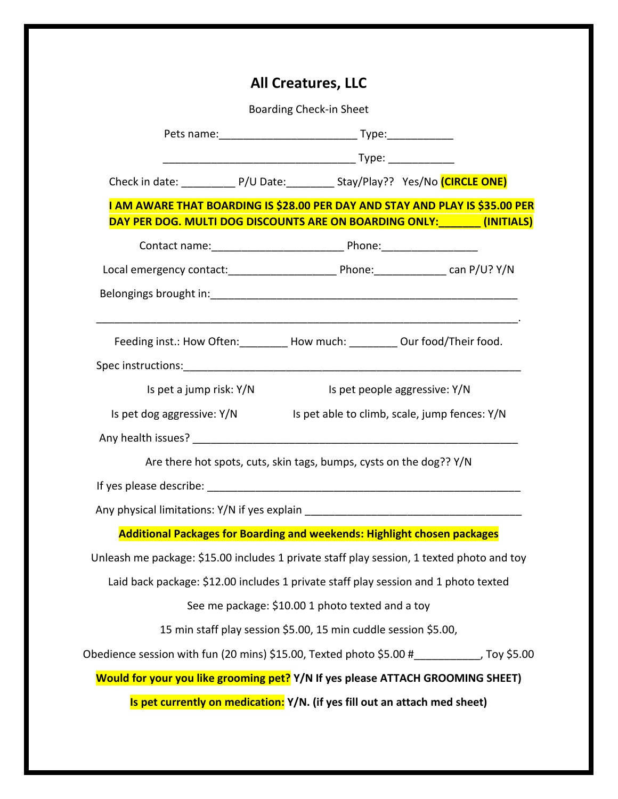|                                                                                                |  | <b>All Creatures, LLC</b> |                               |  |  |
|------------------------------------------------------------------------------------------------|--|---------------------------|-------------------------------|--|--|
| <b>Boarding Check-in Sheet</b>                                                                 |  |                           |                               |  |  |
|                                                                                                |  |                           |                               |  |  |
|                                                                                                |  |                           |                               |  |  |
| Check in date: ______________ P/U Date: ____________ Stay/Play?? Yes/No (CIRCLE ONE)           |  |                           |                               |  |  |
| I AM AWARE THAT BOARDING IS \$28.00 PER DAY AND STAY AND PLAY IS \$35.00 PER                   |  |                           |                               |  |  |
| DAY PER DOG. MULTI DOG DISCOUNTS ARE ON BOARDING ONLY: _______ (INITIALS)                      |  |                           |                               |  |  |
|                                                                                                |  |                           |                               |  |  |
|                                                                                                |  |                           |                               |  |  |
|                                                                                                |  |                           |                               |  |  |
| Feeding inst.: How Often: ________ How much: ________ Our food/Their food.                     |  |                           |                               |  |  |
| Is pet a jump risk: Y/N                                                                        |  |                           | Is pet people aggressive: Y/N |  |  |
| Is pet dog aggressive: Y/N Is pet able to climb, scale, jump fences: Y/N                       |  |                           |                               |  |  |
|                                                                                                |  |                           |                               |  |  |
| Are there hot spots, cuts, skin tags, bumps, cysts on the dog?? Y/N                            |  |                           |                               |  |  |
|                                                                                                |  |                           |                               |  |  |
| Any physical limitations: Y/N if yes explain                                                   |  |                           |                               |  |  |
| <b>Additional Packages for Boarding and weekends: Highlight chosen packages</b>                |  |                           |                               |  |  |
| Unleash me package: \$15.00 includes 1 private staff play session, 1 texted photo and toy      |  |                           |                               |  |  |
| Laid back package: \$12.00 includes 1 private staff play session and 1 photo texted            |  |                           |                               |  |  |
| See me package: \$10.00 1 photo texted and a toy                                               |  |                           |                               |  |  |
| 15 min staff play session \$5.00, 15 min cuddle session \$5.00,                                |  |                           |                               |  |  |
| Obedience session with fun (20 mins) \$15.00, Texted photo \$5.00 $\#$ ___________, Toy \$5.00 |  |                           |                               |  |  |
| Would for your you like grooming pet? Y/N If yes please ATTACH GROOMING SHEET)                 |  |                           |                               |  |  |
| Is pet currently on medication: Y/N. (if yes fill out an attach med sheet)                     |  |                           |                               |  |  |